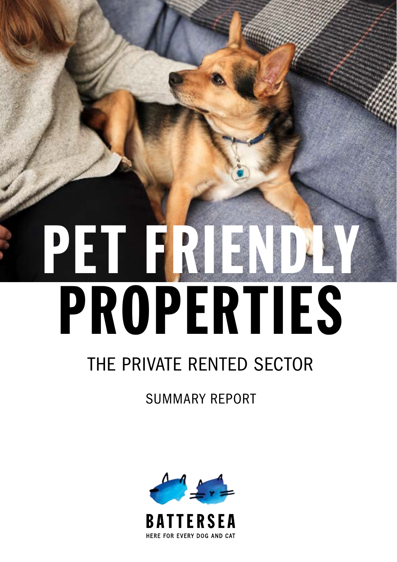# PET FRI PROPERTIES

## THE PRIVATE RENTED SECTOR

1

PET FRIENDLY PROPERTIES: THE PRIVATE RENTED SECTOR

SUMMARY REPORT

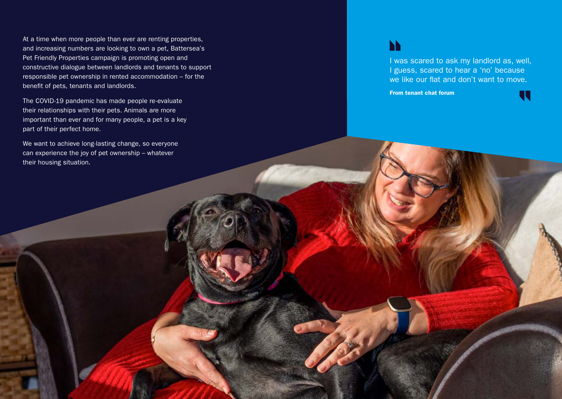At a time when more people than ever are renting properties, and increasing numbers are looking to own a pet, Battersea's Pet Friendly Properties campaign is promoting open and constructive dialogue between landlords and tenants to support responsible pet ownership in rented accommodation – for the benefit of pets, tenants and landlords.

The COVID-19 pandemic has made people re-evaluate their relationships with their pets. Animals are more important than ever and for many people, a pet is a key part of their perfect home.

We want to achieve long-lasting change, so everyone can experience the joy of pet ownership – whatever their housing situation.

### **N**

I was scared to ask my landlord as, well, I guess, scared to hear a 'no' because we like our flat and don't want to move.

From tenant chat forum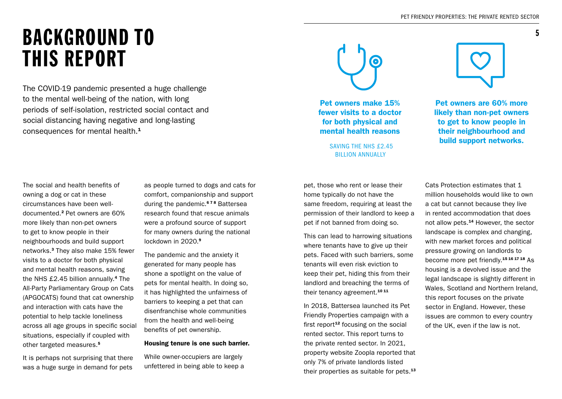## BACKGROUND TO THIS REPORT

The COVID-19 pandemic presented a huge challenge to the mental well-being of the nation, with long periods of self-isolation, restricted social contact and social distancing having negative and long-lasting consequences for mental health.<sup>1</sup>

The social and health benefits of owning a dog or cat in these circumstances have been welldocumented.<sup>2</sup> Pet owners are 60% more likely than non-pet owners to get to know people in their neighbourhoods and build support networks.<sup>3</sup> They also make 15% fewer visits to a doctor for both physical and mental health reasons, saving the NHS £2.45 billion annually.<sup>4</sup> The All-Party Parliamentary Group on Cats (APGOCATS) found that cat ownership and interaction with cats have the potential to help tackle loneliness across all age groups in specific social situations, especially if coupled with other targeted measures.<sup>5</sup>

It is perhaps not surprising that there was a huge surge in demand for pets

as people turned to dogs and cats for comfort, companionship and support during the pandemic.<sup>678</sup> Battersea research found that rescue animals were a profound source of support for many owners during the national lockdown in 2020.<sup>9</sup>

The pandemic and the anxiety it generated for many people has shone a spotlight on the value of pets for mental health. In doing so, it has highlighted the unfairness of barriers to keeping a pet that can disenfranchise whole communities from the health and well-being benefits of pet ownership.

#### Housing tenure is one such barrier.

While owner-occupiers are largely unfettered in being able to keep a



Pet owners make 15% fewer visits to a doctor for both physical and mental health reasons

BILLION ANNUALLY

pet, those who rent or lease their home typically do not have the same freedom, requiring at least the permission of their landlord to keep a pet if not banned from doing so.

This can lead to harrowing situations where tenants have to give up their pets. Faced with such barriers, some tenants will even risk eviction to keep their pet, hiding this from their landlord and breaching the terms of their tenancy agreement.<sup>10 11</sup>

In 2018, Battersea launched its Pet Friendly Properties campaign with a first report $12$  focusing on the social rented sector. This report turns to the private rented sector. In 2021, property website Zoopla reported that only 7% of private landlords listed their properties as suitable for pets.<sup>13</sup>



5

Pet owners are 60% more likely than non-pet owners to get to know people in their neighbourhood and **build support networks.** SAVING THE NHS £2.45

> Cats Protection estimates that 1 million households would like to own a cat but cannot because they live in rented accommodation that does not allow pets.<sup>14</sup> However, the sector landscape is complex and changing, with new market forces and political pressure growing on landlords to become more pet friendly.15 16 17 18 As housing is a devolved issue and the legal landscape is slightly different in Wales, Scotland and Northern Ireland, this report focuses on the private sector in England. However, these issues are common to every country of the UK, even if the law is not.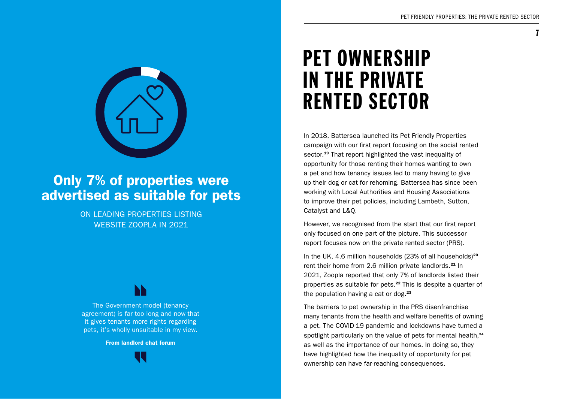

### Only 7% of properties were advertised as suitable for pets

ON LEADING PROPERTIES LISTING WEBSITE ZOOPLA IN 2021

The Government model (tenancy agreement) is far too long and now that it gives tenants more rights regarding pets, it's wholly unsuitable in my view.

From landlord chat forum

## PET OWNERSHIP IN THE PRIVATE RENTED SECTOR

In 2018, Battersea launched its Pet Friendly Properties campaign with our first report focusing on the social rented sector.<sup>19</sup> That report highlighted the vast inequality of opportunity for those renting their homes wanting to own a pet and how tenancy issues led to many having to give up their dog or cat for rehoming. Battersea has since been working with Local Authorities and Housing Associations to improve their pet policies, including Lambeth, Sutton, Catalyst and L&Q.

However, we recognised from the start that our first report only focused on one part of the picture. This successor report focuses now on the private rented sector (PRS).

In the UK, 4.6 million households (23% of all households)<sup>20</sup> rent their home from 2.6 million private landlords.<sup>21</sup> In 2021, Zoopla reported that only 7% of landlords listed their properties as suitable for pets.<sup>22</sup> This is despite a quarter of the population having a cat or dog.<sup>23</sup>

The barriers to pet ownership in the PRS disenfranchise many tenants from the health and welfare benefits of owning a pet. The COVID-19 pandemic and lockdowns have turned a spotlight particularly on the value of pets for mental health.<sup>24</sup> as well as the importance of our homes. In doing so, they have highlighted how the inequality of opportunity for pet ownership can have far-reaching consequences.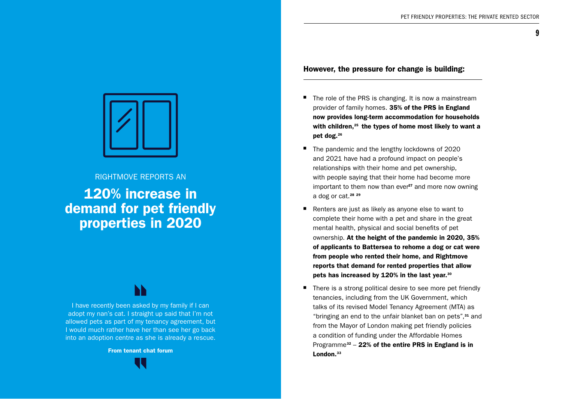**q** 



#### RIGHTMOVE REPORTS AN

120% increase in demand for pet friendly properties in 2020

I have recently been asked by my family if I can adopt my nan's cat. I straight up said that I'm not allowed pets as part of my tenancy agreement, but I would much rather have her than see her go back into an adoption centre as she is already a rescue.

From tenant chat forum



#### However, the pressure for change is building:

- The role of the PRS is changing. It is now a mainstream provider of family homes. 35% of the PRS in England now provides long-term accommodation for households with children, $25$  the types of home most likely to want a pet dog.26
- The pandemic and the lengthy lockdowns of 2020 and 2021 have had a profound impact on people's relationships with their home and pet ownership, with people saying that their home had become more important to them now than ever<sup>27</sup> and more now owning a dog or cat.<sup>28</sup> <sup>29</sup>
- Renters are just as likely as anyone else to want to complete their home with a pet and share in the great mental health, physical and social benefits of pet ownership. At the height of the pandemic in 2020, 35% of applicants to Battersea to rehome a dog or cat were from people who rented their home, and Rightmove reports that demand for rented properties that allow pets has increased by 120% in the last year.30
- There is a strong political desire to see more pet friendly tenancies, including from the UK Government, which talks of its revised Model Tenancy Agreement (MTA) as "bringing an end to the unfair blanket ban on pets",31 and from the Mayor of London making pet friendly policies a condition of funding under the Affordable Homes Programme<sup>32</sup> – 22% of the entire PRS in England is in London.<sup>33</sup>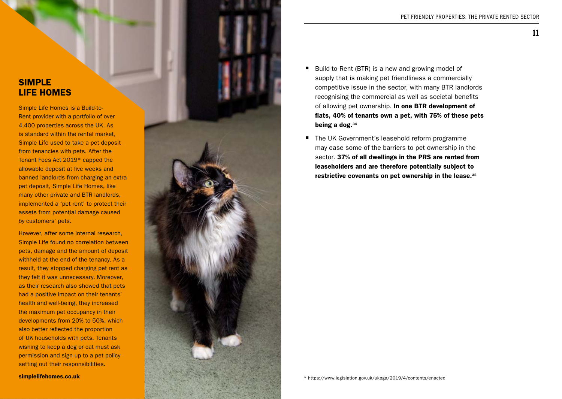### SIMPLE LIFE HOMES

Simple Life Homes is a Build-to-Rent provider with a portfolio of over 4,400 properties across the UK. As is standard within the rental market, Simple Life used to take a pet deposit from tenancies with pets. After the Tenant Fees Act 2019\* capped the allowable deposit at five weeks and banned landlords from charging an extra pet deposit, Simple Life Homes, like many other private and BTR landlords, implemented a 'pet rent' to protect their assets from potential damage caused by customers' pets.

However, after some internal research, Simple Life found no correlation between pets, damage and the amount of deposit withheld at the end of the tenancy. As a result, they stopped charging pet rent as they felt it was unnecessary. Moreover, as their research also showed that pets had a positive impact on their tenants' health and well-being, they increased the maximum pet occupancy in their developments from 20% to 50%, which also better reflected the proportion of UK households with pets. Tenants wishing to keep a dog or cat must ask permission and sign up to a pet policy setting out their responsibilities.



- Build-to-Rent (BTR) is a new and growing model of supply that is making pet friendliness a commercially competitive issue in the sector, with many BTR landlords recognising the commercial as well as societal benefits of allowing pet ownership. In one BTR development of flats, 40% of tenants own a pet, with 75% of these pets being a dog.34
- The UK Government's leasehold reform programme may ease some of the barriers to pet ownership in the sector. 37% of all dwellings in the PRS are rented from leaseholders and are therefore potentially subject to restrictive covenants on pet ownership in the lease.35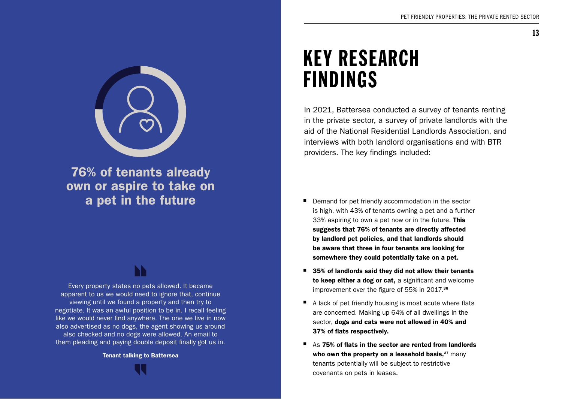

76% of tenants already own or aspire to take on a pet in the future

Every property states no pets allowed. It became apparent to us we would need to ignore that, continue viewing until we found a property and then try to negotiate. It was an awful position to be in. I recall feeling like we would never find anywhere. The one we live in now also advertised as no dogs, the agent showing us around also checked and no dogs were allowed. An email to them pleading and paying double deposit finally got us in.

Tenant talking to Battersea

## KEY RESEARCH FINDINGS

In 2021, Battersea conducted a survey of tenants renting in the private sector, a survey of private landlords with the aid of the National Residential Landlords Association, and interviews with both landlord organisations and with BTR providers. The key findings included:

- Demand for pet friendly accommodation in the sector is high, with 43% of tenants owning a pet and a further 33% aspiring to own a pet now or in the future. This suggests that 76% of tenants are directly affected by landlord pet policies, and that landlords should be aware that three in four tenants are looking for somewhere they could potentially take on a pet.
- $\blacksquare$  35% of landlords said they did not allow their tenants to keep either a dog or cat, a significant and welcome improvement over the figure of 55% in 2017.<sup>36</sup>
- $\blacksquare$  A lack of pet friendly housing is most acute where flats are concerned. Making up 64% of all dwellings in the sector, dogs and cats were not allowed in 40% and 37% of flats respectively.
- As 75% of flats in the sector are rented from landlords who own the property on a leasehold basis, $37$  many tenants potentially will be subject to restrictive covenants on pets in leases.

13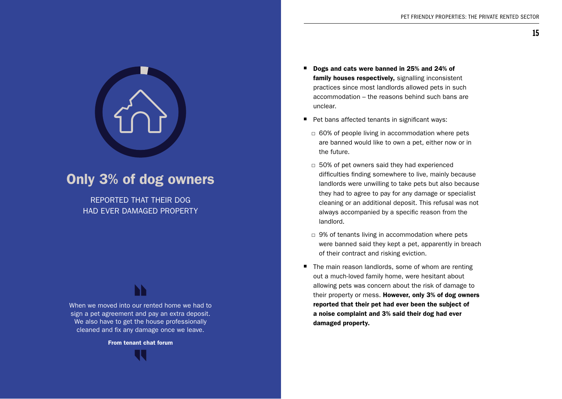

## Only 3% of dog owners

REPORTED THAT THEIR DOG HAD EVER DAMAGED PROPERTY

When we moved into our rented home we had to sign a pet agreement and pay an extra deposit. We also have to get the house professionally cleaned and fix any damage once we leave.

From tenant chat forum

- Dogs and cats were banned in 25% and 24% of family houses respectively, signalling inconsistent practices since most landlords allowed pets in such accommodation – the reasons behind such bans are unclear.
- Pet bans affected tenants in significant ways:
	- $\Box$  60% of people living in accommodation where pets are banned would like to own a pet, either now or in the future.
	- □ 50% of pet owners said they had experienced difficulties finding somewhere to live, mainly because landlords were unwilling to take pets but also because they had to agree to pay for any damage or specialist cleaning or an additional deposit. This refusal was not always accompanied by a specific reason from the landlord.
	- $\Box$  9% of tenants living in accommodation where pets were banned said they kept a pet, apparently in breach of their contract and risking eviction.
- The main reason landlords, some of whom are renting out a much-loved family home, were hesitant about allowing pets was concern about the risk of damage to their property or mess. However, only 3% of dog owners reported that their pet had ever been the subject of a noise complaint and 3% said their dog had ever damaged property.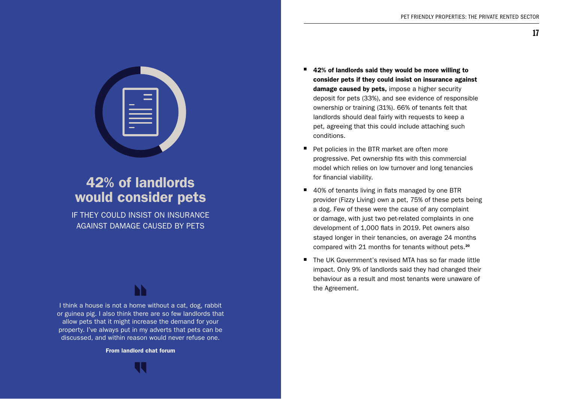

## 42% of landlords would consider pets

IF THEY COULD INSIST ON INSURANCE AGAINST DAMAGE CAUSED BY PETS

I think a house is not a home without a cat, dog, rabbit or guinea pig. I also think there are so few landlords that allow pets that it might increase the demand for your property. I've always put in my adverts that pets can be discussed, and within reason would never refuse one.

From landlord chat forum

- $\blacksquare$  42% of landlords said they would be more willing to consider pets if they could insist on insurance against damage caused by pets, impose a higher security deposit for pets (33%), and see evidence of responsible ownership or training (31%). 66% of tenants felt that landlords should deal fairly with requests to keep a pet, agreeing that this could include attaching such conditions.
- Pet policies in the BTR market are often more progressive. Pet ownership fits with this commercial model which relies on low turnover and long tenancies for financial viability.
- 40% of tenants living in flats managed by one BTR provider (Fizzy Living) own a pet, 75% of these pets being a dog. Few of these were the cause of any complaint or damage, with just two pet-related complaints in one development of 1,000 flats in 2019. Pet owners also stayed longer in their tenancies, on average 24 months compared with 21 months for tenants without pets.<sup>20</sup>
- · The UK Government's revised MTA has so far made little impact. Only 9% of landlords said they had changed their behaviour as a result and most tenants were unaware of the Agreement.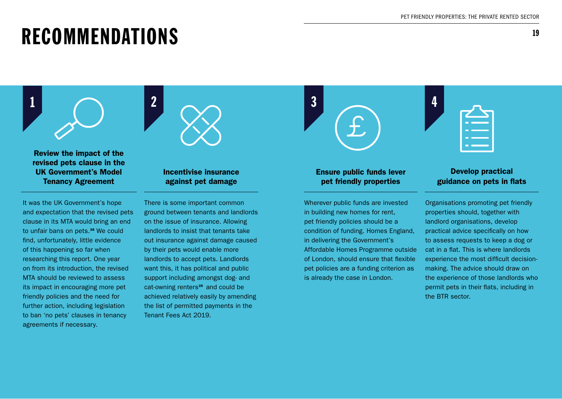## RECOMMENDATIONS

Review the impact of the revised pets clause in the UK Government's Model Tenancy Agreement

It was the UK Government's hope and expectation that the revised pets clause in its MTA would bring an end to unfair bans on pets.<sup>38</sup> We could find, unfortunately, little evidence of this happening so far when researching this report. One year on from its introduction, the revised MTA should be reviewed to assess its impact in encouraging more pet friendly policies and the need for further action, including legislation to ban 'no pets' clauses in tenancy agreements if necessary.



#### Incentivise insurance against pet damage

There is some important common ground between tenants and landlords on the issue of insurance. Allowing landlords to insist that tenants take out insurance against damage caused by their pets would enable more landlords to accept pets. Landlords want this, it has political and public support including amongst dog- and cat-owning renters<sup>39</sup> and could be achieved relatively easily by amending the list of permitted payments in the Tenant Fees Act 2019.



### Ensure public funds lever pet friendly properties

Wherever public funds are invested in building new homes for rent, pet friendly policies should be a condition of funding. Homes England, in delivering the Government's Affordable Homes Programme outside of London, should ensure that flexible pet policies are a funding criterion as is already the case in London.

### Develop practical guidance on pets in flats

Organisations promoting pet friendly properties should, together with landlord organisations, develop practical advice specifically on how to assess requests to keep a dog or cat in a flat. This is where landlords experience the most difficult decisionmaking. The advice should draw on the experience of those landlords who permit pets in their flats, including in the BTR sector.

19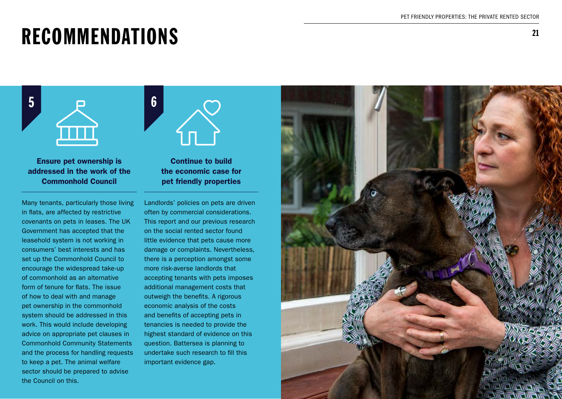## RECOMMENDATIONS

5



Ensure pet ownership is addressed in the work of the Commonhold Council

Many tenants, particularly those living in flats, are affected by restrictive covenants on pets in leases. The UK Government has accepted that the leasehold system is not working in consumers' best interests and has set up the Commonhold Council to encourage the widespread take-up of commonhold as an alternative form of tenure for flats. The issue of how to deal with and manage pet ownership in the commonhold system should be addressed in this work. This would include developing advice on appropriate pet clauses in Commonhold Community Statements and the process for handling requests to keep a pet. The animal welfare sector should be prepared to advise the Council on this.



Continue to build the economic case for pet friendly properties

Landlords' policies on pets are driven often by commercial considerations. This report and our previous research on the social rented sector found little evidence that pets cause more damage or complaints. Nevertheless, there is a perception amongst some more risk-averse landlords that accepting tenants with pets imposes additional management costs that outweigh the benefits. A rigorous economic analysis of the costs and benefits of accepting pets in tenancies is needed to provide the highest standard of evidence on this question. Battersea is planning to undertake such research to fill this important evidence gap.

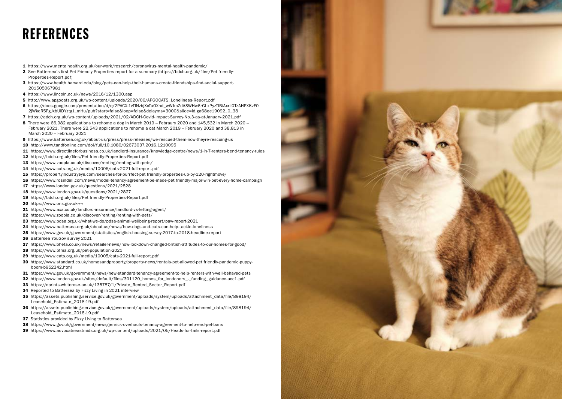## **REFERENCES**

- https://www.mentalhealth.org.uk/our-work/research/coronavirus-mental-health-pandemic/
- 2 See Battersea's first Pet Friendly Properties report for a summary (https://bdch.org.uk/files/Pet friendly-Properties-Report.pdf)
- https://www.health.harvard.edu/blog/pets-can-help-their-humans-create-friendships-find-social-support-
- https://www.lincoln.ac.uk/news/2016/12/1300.asp
- http://www.apgocats.org.uk/wp-content/uploads/2020/06/APGOCATS\_Loneliness-Report.pdf
- https://docs.google.com/presentation/d/e/2PACX-1vTlNzbjXcTaOXhd\_wWJmZdASWHw6rGLxPyzTlBiAxrii0TzAHPXKzF0 2jWkdR5PgJxbUlDYztgJ\_mHu/pub?start=false&loop=false&delayms=3000&slide=id.ga68ee19092\_0\_38
- https://adch.org.uk/wp-content/uploads/2021/02/ADCH-Covid-Impact-Survey-No.3-as-at-January-2021.pdf
- There were 66,982 applications to rehome a dog in March 2019 Febraury 2020 and 145,532 in March 2020 February 2021. There were 22,543 applications to rehome a cat March 2019 – February 2020 and 38,813 in March 2020 – February 2021
- https://www.battersea.org.uk/about-us/press/press-releases/we-rescued-them-now-theyre-rescuing-us
- http://www.tandfonline.com/doi/full/10.1080/02673037.2016.1210095
- https://www.directlineforbusiness.co.uk/landlord-insurance/knowledge-centre/news/1-in-7-renters-bend-tenancy-rules
- https://bdch.org.uk/files/Pet friendly-Properties-Report.pdf
- https://www.zoopla.co.uk/discover/renting/renting-with-pets/
- https://www.cats.org.uk/media/10005/cats-2021-full-report.pdf
- https://propertyindustryeye.com/searches-for-purrfect-pet friendly-properties-up-by-120-rightmove/
- https://www.rosindell.com/news/model-tenancy-agreement-be-made-pet friendly-major-win-pet-every-home-campaign
- https://www.london.gov.uk/questions/2021/2828
- https://www.london.gov.uk/questions/2021/2827
- https://bdch.org.uk/files/Pet friendly-Properties-Report.pdf
- 20 https://www.ons.gov.uk¬¬
- https://www.axa.co.uk/landlord-insurance/landlord-vs-letting-agent/
- 22 https://www.zoopla.co.uk/discover/renting/renting-with-pets/
- https://www.pdsa.org.uk/what-we-do/pdsa-animal-wellbeing-report/paw-report-2021
- https://www.battersea.org.uk/about-us/news/how-dogs-and-cats-can-help-tackle-loneliness
- https://www.gov.uk/government/statistics/english-housing-survey-2017-to-2018-headline-report
- Battersea YouGov survey 2021
- https://www.bheta.co.uk/news/retailer-news/how-lockdown-changed-british-attitudes-to-our-homes-for-good/
- https://www.pfma.org.uk/pet-population-2021
- https://www.cats.org.uk/media/10005/cats-2021-full-report.pdf
- https://www.standard.co.uk/homesandproperty/property-news/rentals-pet-allowed-pet friendly-pandemic-puppy boom-b952342.html
- https://www.gov.uk/government/news/new-standard-tenancy-agreement-to-help-renters-with-well-behaved-pets
- https://www.london.gov.uk/sites/default/files/301120\_homes\_for\_londoners\_-\_funding\_guidance-acc1.pdf
- 33 https://eprints.whiterose.ac.uk/135787/1/Private\_Rented\_Sector\_Report.pdf
- 34 Reported to Battersea by Fizzy Living in 2021 interview
- https://assets.publishing.service.gov.uk/government/uploads/system/uploads/attachment\_data/file/898194/ Leasehold\_Estimate\_2018-19.pdf
- https://assets.publishing.service.gov.uk/government/uploads/system/uploads/attachment\_data/file/898194/ Leasehold\_Estimate\_2018-19.pdf
- 37 Statistics provided by Fizzy Living to Battersea
- https://www.gov.uk/government/news/jenrick-overhauls-tenancy-agreement-to-help-end-pet-bans
- https://www.advocatseastmids.org.uk/wp-content/uploads/2021/05/Heads-for-Tails-report.pdf